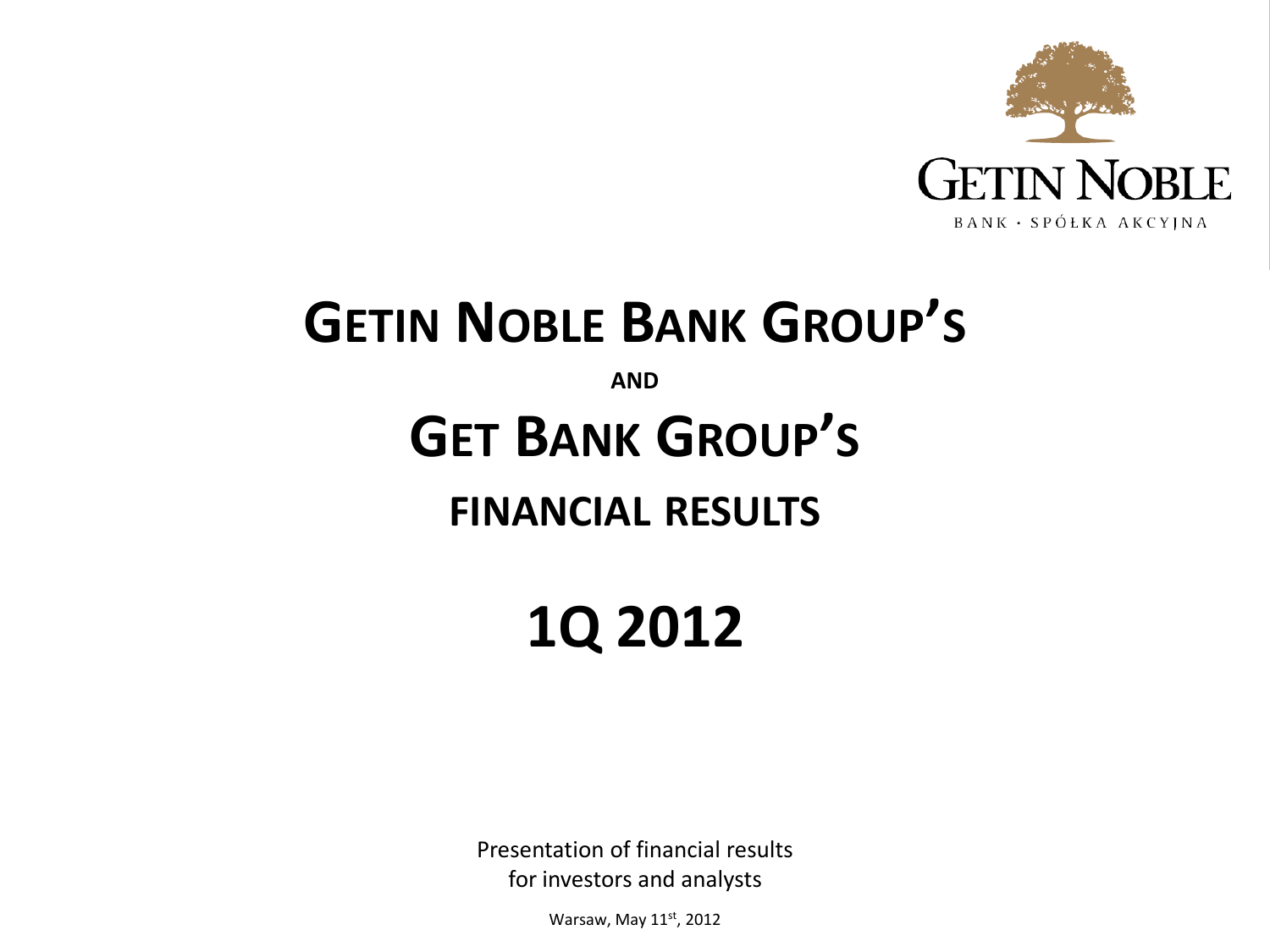

# **GETIN NOBLE BANK GROUP'S**

**AND**

# **GET BANK GROUP'S**

# **FINANCIAL RESULTS**

# **1Q 2012**

Presentation of financial results for investors and analysts

Warsaw, May 11st, 2012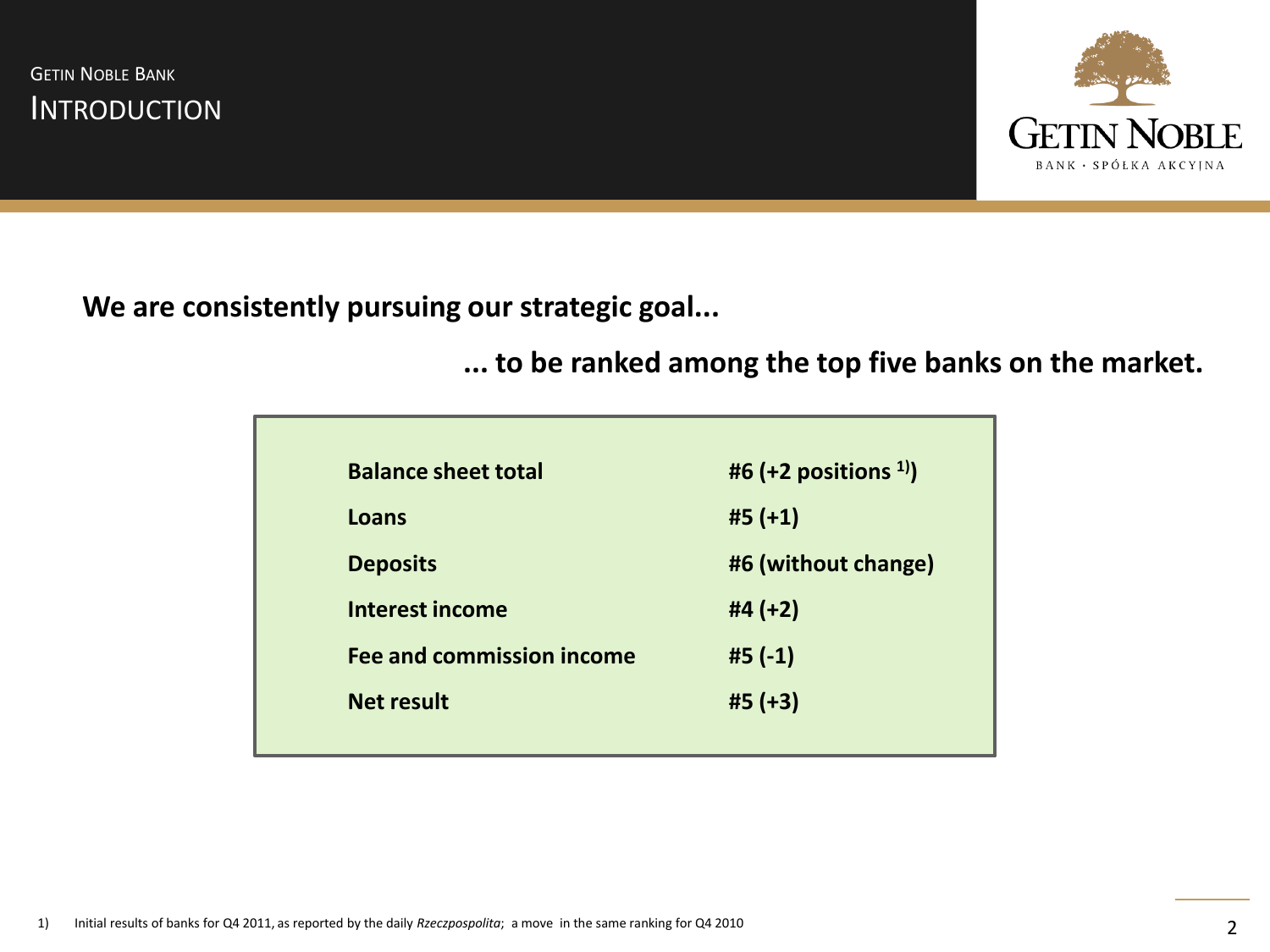**INTRODUCTION GETIN NOBLE BANK** 



**We are consistently pursuing our strategic goal...**

**... to be ranked among the top five banks on the market.**

| <b>Balance sheet total</b>       | #6 (+2 positions $^{1}$ ) |
|----------------------------------|---------------------------|
| Loans                            | $#5 (+1)$                 |
| <b>Deposits</b>                  | #6 (without change)       |
| <b>Interest income</b>           | #4 $(+2)$                 |
| <b>Fee and commission income</b> | $#5(-1)$                  |
| <b>Net result</b>                | $#5 (+3)$                 |
|                                  |                           |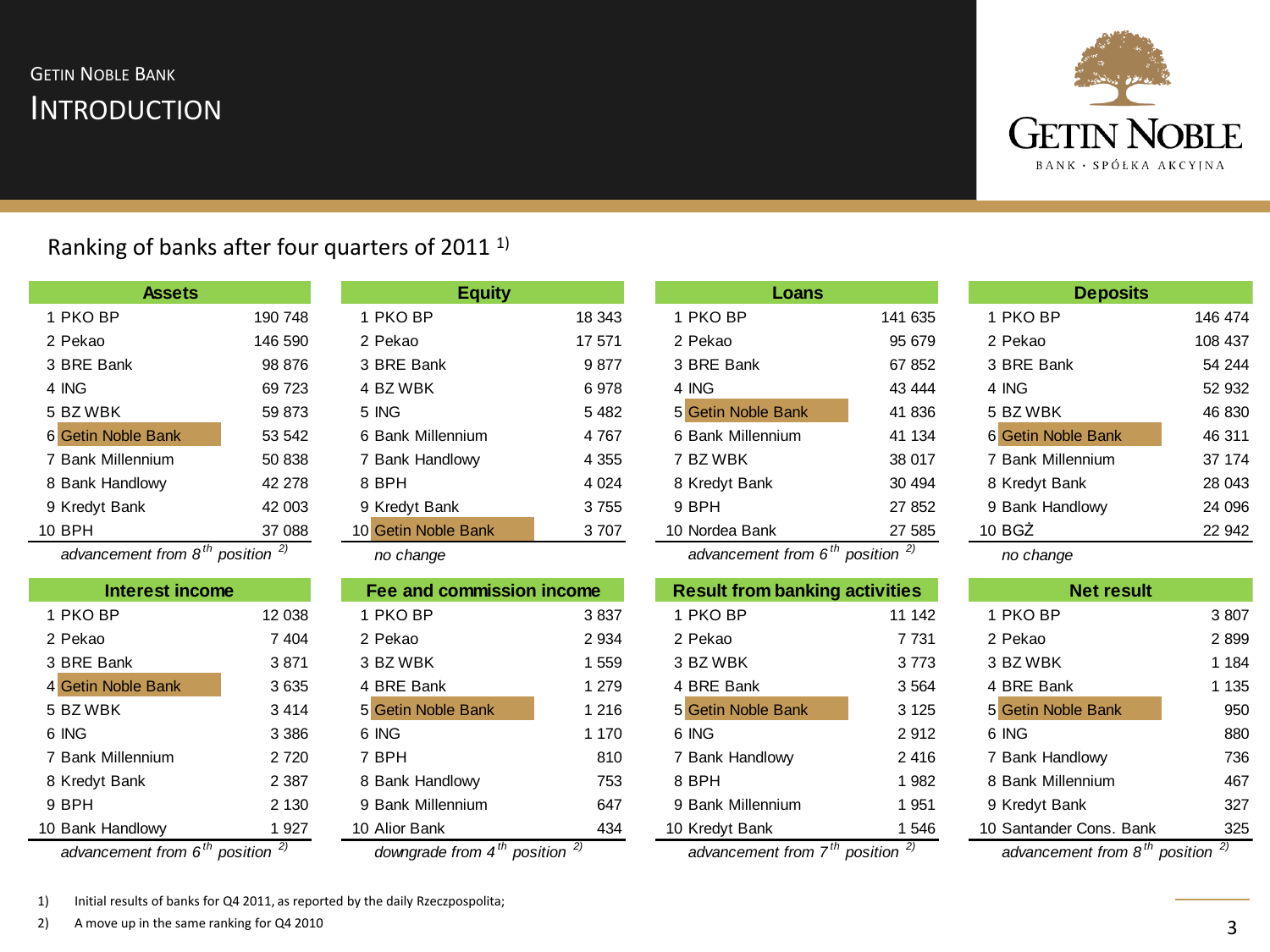# **INTRODUCTION GETIN NOBLE BANK**



## Ranking of banks after four quarters of 2011 1)

| <b>Assets</b>      |         |
|--------------------|---------|
| 1 PKO BP           | 190 748 |
| 2 Pekao            | 146 590 |
| 3 BRE Bank         | 98 876  |
| 4 ING              | 69 723  |
| 5 BZ WBK           | 59 873  |
| 6 Getin Noble Bank | 53 542  |
| 7 Bank Millennium  | 50 838  |
| 8 Bank Handlowy    | 42 278  |
| 9 Kredyt Bank      | 42 003  |
| 10 BPH             | 37 088  |

1 PKO BP 190 748 1 PKO BP 18 343 1 PKO BP 141 635 1 PKO BP 146 474 2 Pekao 146 590 2 Pekao 17 571 2 Pekao 95 679 2 Pekao 108 437 3 BRE Bank 98 876 3 BRE Bank 9 877 3 BRE Bank 67 852 3 BRE Bank 54 244 4 ING 69 723 4 BZ WBK 6 978 4 ING 43 444 4 ING 52 932 5 BZ WBK 59 873 5 ING 5 482 5 Getin Noble Bank 41 836 5 BZ WBK 46 830 6 Getin Noble Bank 53 542 6 Bank Millennium 4 767 6 Bank Millennium 41 134 6 Getin Noble Bank 46 311 7 Bank Handlowy 4 355 8 Bank Handlowy 42 278 8 BPH 4 024 8 Kredyt Bank 8 Kredyt Bank 28 043 9 Kredyt Bank 42 003 9 Kredyt Bank 3 755 9 BPH 27 852 9 Bank Handlowy 24 096 10 Getin Noble Bank 3707 **Assets Equity Loans Deposits**

| no change |  |
|-----------|--|
|-----------|--|

| Fee and commission income<br>Interest income |         | <b>Result from banking activities</b> |         | <b>Net result</b>  |         |                         |         |
|----------------------------------------------|---------|---------------------------------------|---------|--------------------|---------|-------------------------|---------|
| 1 PKO BP                                     | 12 038  | PKO BP                                | 3837    | 1 PKO BP           | 11 142  | 1 PKO BP                | 3807    |
| 2 Pekao                                      | 7 4 0 4 | 2 Pekao                               | 2 9 3 4 | 2 Pekao            | 7 7 3 1 | 2 Pekao                 | 2899    |
| 3 BRE Bank                                   | 3871    | 3 BZ WBK                              | 1559    | 3 BZ WBK           | 3773    | 3 BZ WBK                | 1 1 8 4 |
| 4 Getin Noble Bank                           | 3635    | 4 BRE Bank                            | 1 2 7 9 | 4 BRE Bank         | 3 5 6 4 | 4 BRE Bank              | 1 1 3 5 |
| 5 BZ WBK                                     | 3414    | 5 Getin Noble Bank                    | 1 2 1 6 | 5 Getin Noble Bank | 3 1 2 5 | 5 Getin Noble Bank      | 950     |
| 6 ING                                        | 3 3 8 6 | 6 ING                                 | 1 1 7 0 | 6 ING              | 2912    | 6 ING                   | 880     |
| 7 Bank Millennium                            | 2 7 2 0 | 7 BPH                                 | 810     | 7 Bank Handlowy    | 2416    | 7 Bank Handlowy         | 736     |
| 8 Kredyt Bank                                | 2 3 8 7 | 8 Bank Handlowy                       | 753     | 8 BPH              | 982     | 8 Bank Millennium       | 467     |
| 9 BPH                                        | 2 1 3 0 | 9 Bank Millennium                     | 647     | 9 Bank Millennium  | 951     | 9 Kredyt Bank           | 327     |
| 10 Bank Handlowy                             | 927     | 10 Alior Bank                         | 434     | 10 Kredyt Bank     | 546     | 10 Santander Cons, Bank | 325     |

| 8 Bank Handlowy | 753 |
|-----------------|-----|
|                 |     |

advancement from 6<sup>th</sup> position  $\frac{2}{1}$  downgrade from 4<sup>th</sup> position  $\frac{2}{1}$  advancement from 7<sup>th</sup> position  $\frac{2}{1}$  advancement from 8<sup>th</sup> position

| Loans                                    |         |
|------------------------------------------|---------|
| 18 343<br>1 PKO BP                       | 141 635 |
| 17 571<br>2 Pekao                        | 95 679  |
| 3 BRE Bank<br>9877                       | 67852   |
| 6978<br>4 ING                            | 43 444  |
| 5 Getin Noble Bank<br>5482               | 41 836  |
| 6 Bank Millennium<br>4767                | 41 134  |
| 7 BZ WBK<br>4 355                        | 38 017  |
| 4 0 24<br>8 Kredyt Bank                  | 30 494  |
| 9 BPH<br>3755                            | 27 852  |
| 3707<br>10 Nordea Bank<br>$\overline{1}$ | 27 585  |

*advancement from 8 th position 2) no change advancement from 6 th position 2) no change*

| Interest income    |               | Fee and commission income |         | <b>Result from banking activities</b> |               | <b>Net result</b>       |       |
|--------------------|---------------|---------------------------|---------|---------------------------------------|---------------|-------------------------|-------|
| <b>PKO BP</b>      | 12 038        | 1 PKO BP                  | 3837    | 1 PKO BP                              | 11 142        | ∣ PKO BP                | 3807  |
| 2 Pekao            | 7 4 0 4       | 2 Pekao                   | 2 9 3 4 | 2 Pekao                               | 7 7 3 1       | 2 Pekao                 | 2899  |
| 3 BRE Bank         | 3871          | 3 BZ WBK                  | 559     | 3 BZ WBK                              | 3773          | 3 BZ WBK                | 1 184 |
| 4 Getin Noble Bank | 3635          | 4 BRE Bank                | 1 2 7 9 | 4 BRE Bank                            | 3 5 6 4       | 4 BRE Bank              | 1 135 |
| 5 BZ WBK           | 3414          | 5 Getin Noble Bank        | 1 2 1 6 | 5 Getin Noble Bank                    | 3 1 2 5       | 5 Getin Noble Bank      | 950   |
| 6 ING              | 3 3 8 6       | 6 ING                     | 1 1 7 0 | 6 ING                                 | 2912          | 6 ING                   | 880   |
| 7 Bank Millennium  | 2 7 2 0       | 7 BPH                     | 810     | 7 Bank Handlowy                       | 2416          | 7 Bank Handlowy         | 736   |
| 8 Kredyt Bank      | 2 3 8 7       | 8 Bank Handlowy           | 753     | 8 BPH                                 | 1982          | 8 Bank Millennium       | 467   |
| 9 BPH              | 2 1 3 0       | 9 Bank Millennium         | 647     | 9 Bank Millennium                     | 1 9 5 1       | 9 Kredyt Bank           | 327   |
| 0 Bank Handlowy    | 927           | 10 Alior Bank             | 434     | 10 Kredyt Bank                        | 1 546         | 10 Santander Cons. Bank | 325   |
| 4h                 | $\mathcal{L}$ | 4h                        |         | $+h$                                  | $\mathcal{L}$ |                         | 21    |

| <b>Deposits</b>    |         |  |  |  |  |
|--------------------|---------|--|--|--|--|
| 1 PKO BP           | 146 474 |  |  |  |  |
| 2 Pekao            | 108 437 |  |  |  |  |
| 3 BRF Bank         | 54 244  |  |  |  |  |
| 4 ING              | 52.932  |  |  |  |  |
| 5 BZ WBK           | 46 830  |  |  |  |  |
| 6 Getin Noble Bank | 46.311  |  |  |  |  |
| 7 Bank Millennium  | 37 174  |  |  |  |  |
| 8 Kredyt Bank      | 28 043  |  |  |  |  |
| 9 Bank Handlowy    | 24 096  |  |  |  |  |
| 10 <sub>BG</sub>   | 22.942  |  |  |  |  |
|                    |         |  |  |  |  |

| <b>Net result</b>                |                |  |  |  |
|----------------------------------|----------------|--|--|--|
| 1 PKO BP                         | 3807           |  |  |  |
| 2 Pekao                          | 2899           |  |  |  |
| 3 BZ WBK                         | 1 1 8 4        |  |  |  |
| 4 BRF Bank                       | 1 1 3 5        |  |  |  |
| 5 Getin Noble Bank               | 950            |  |  |  |
| 6 ING                            | 880            |  |  |  |
| 7 Bank Handlowy                  | 736            |  |  |  |
| 8 Bank Millennium                | 467            |  |  |  |
| 9 Kredyt Bank                    | 327            |  |  |  |
| 10 Santander Cons. Bank          | 325            |  |  |  |
| $ab$ proposed from $\Omega^{th}$ | 2)<br>nooition |  |  |  |

1) Initial results of banks for Q4 2011, as reported by the daily Rzeczpospolita;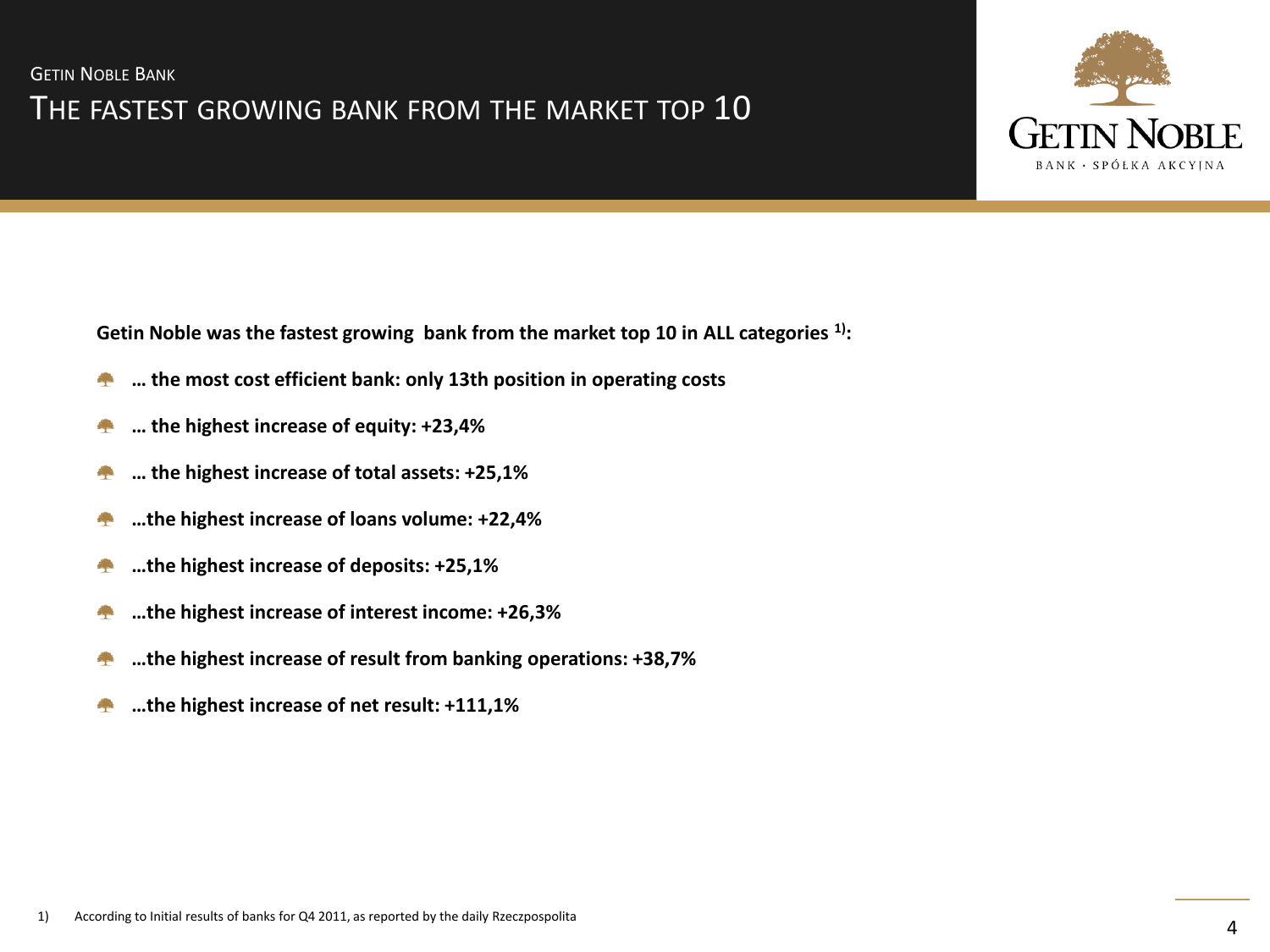

**Getin Noble was the fastest growing bank from the market top 10 in ALL categories 1):**

- **… the most cost efficient bank: only 13th position in operating costs September**
- **… the highest increase of equity: +23,4%** ÷
- **… the highest increase of total assets: +25,1%** ÷
- **…the highest increase of loans volume: +22,4%** 42
- **…the highest increase of deposits: +25,1%**
- **…the highest increase of interest income: +26,3%**
- **…the highest increase of result from banking operations: +38,7%** 43
- **…the highest increase of net result: +111,1%**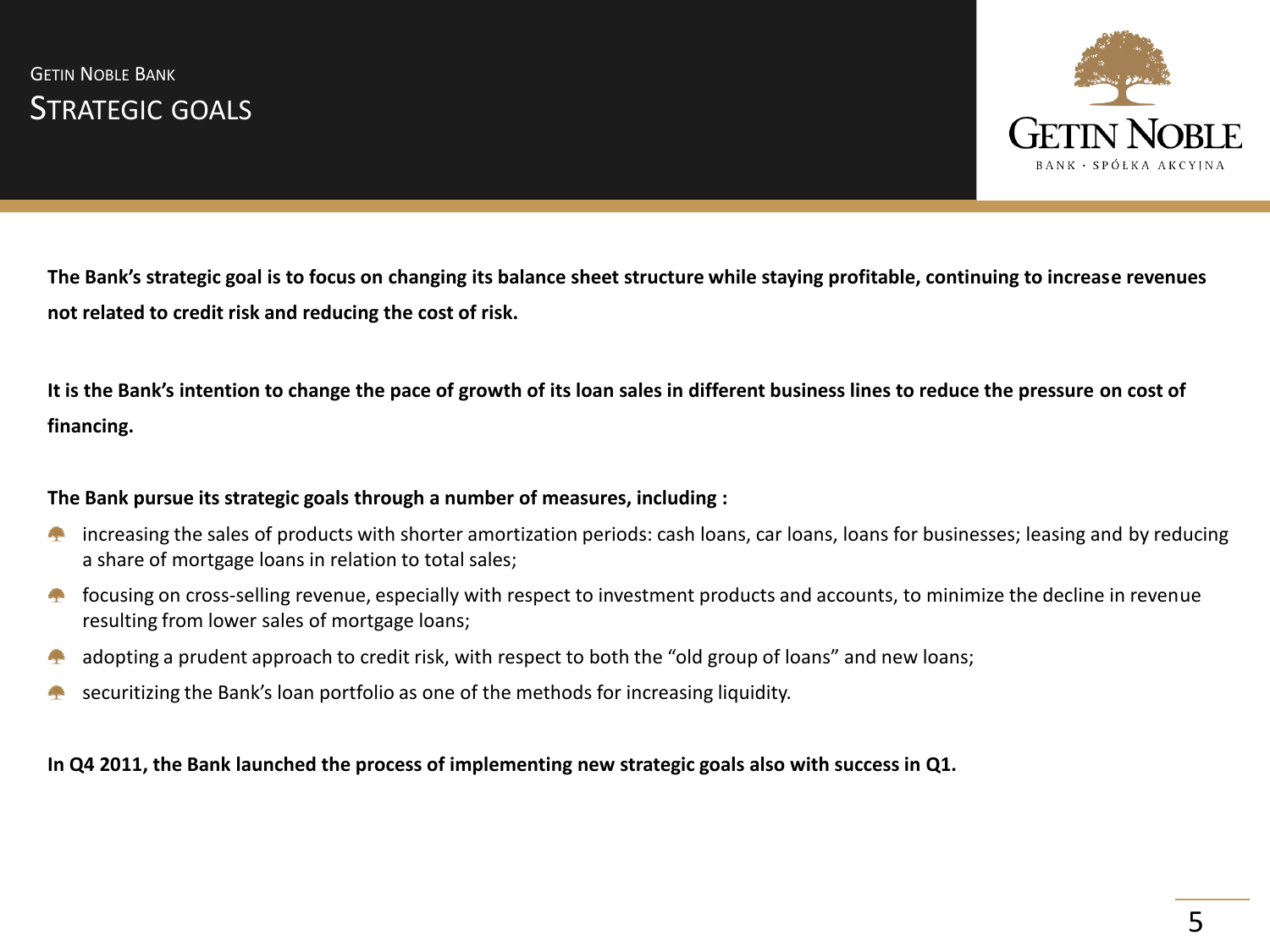

**The Bank's strategic goal is to focus on changing its balance sheet structure while staying profitable, continuing to increase revenues not related to credit risk and reducing the cost of risk.** 

**It is the Bank's intention to change the pace of growth of its loan sales in different business lines to reduce the pressure on cost of financing.** 

#### **The Bank pursue its strategic goals through a number of measures, including :**

- increasing the sales of products with shorter amortization periods: cash loans, car loans, loans for businesses; leasing and by reducing **Contract** a share of mortgage loans in relation to total sales;
- focusing on cross-selling revenue, especially with respect to investment products and accounts, to minimize the decline in revenue **Contract** resulting from lower sales of mortgage loans;
- adopting a prudent approach to credit risk, with respect to both the "old group of loans" and new loans; A.
- securitizing the Bank's loan portfolio as one of the methods for increasing liquidity.

**In Q4 2011, the Bank launched the process of implementing new strategic goals also with success in Q1.**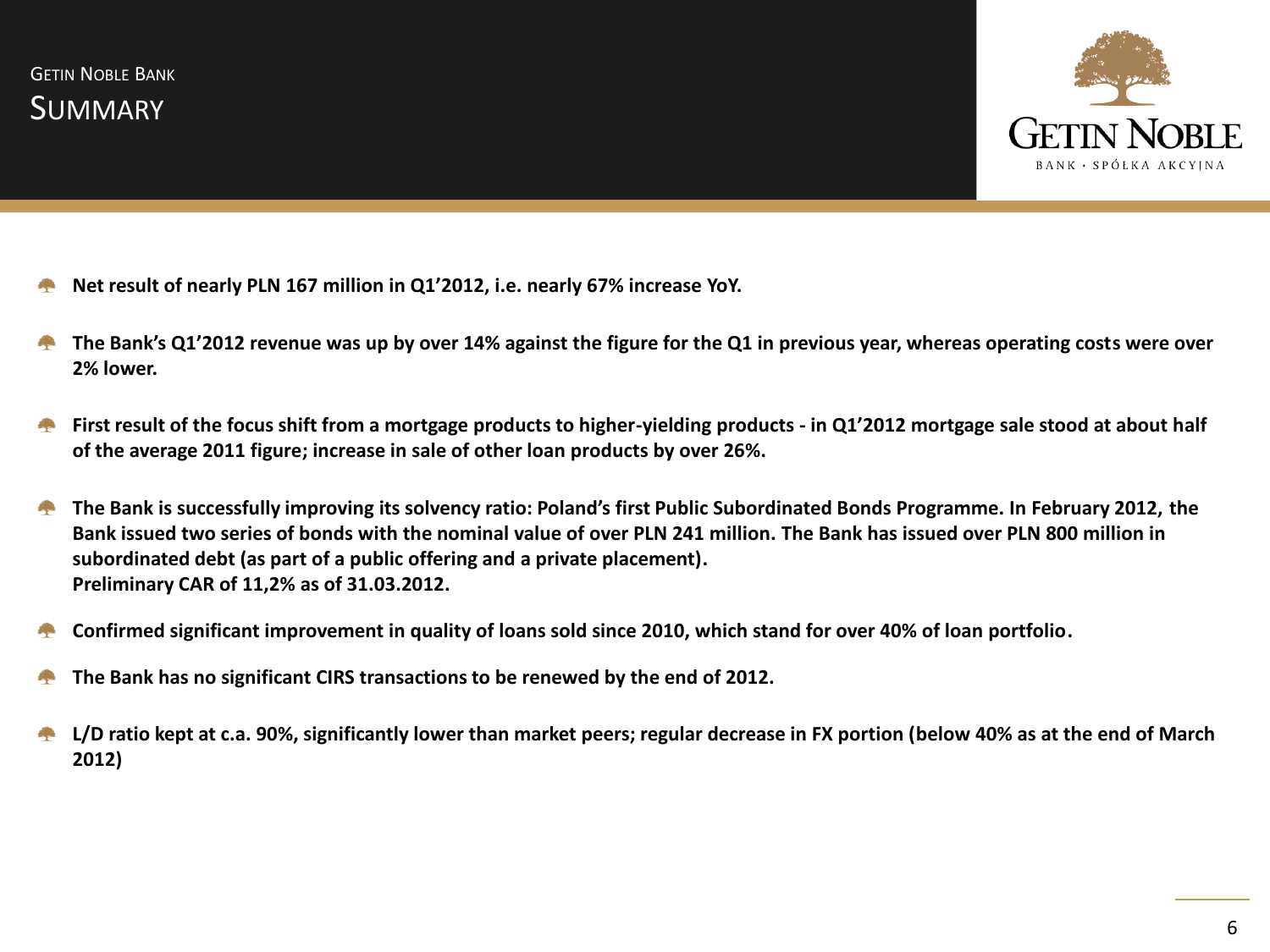

- **Net result of nearly PLN 167 million in Q1'2012, i.e. nearly 67% increase YoY.**
- **The Bank's Q1'2012 revenue was up by over 14% against the figure for the Q1 in previous year, whereas operating costs were over 2% lower.**
- **First result of the focus shift from a mortgage products to higher-yielding products - in Q1'2012 mortgage sale stood at about half**  r. **of the average 2011 figure; increase in sale of other loan products by over 26%.**
- **The Bank is successfully improving its solvency ratio: Poland's first Public Subordinated Bonds Programme. In February 2012, the Contract Bank issued two series of bonds with the nominal value of over PLN 241 million. The Bank has issued over PLN 800 million in subordinated debt (as part of a public offering and a private placement). Preliminary CAR of 11,2% as of 31.03.2012.**
- **Confirmed significant improvement in quality of loans sold since 2010, which stand for over 40% of loan portfolio.**
- **The Bank has no significant CIRS transactions to be renewed by the end of 2012.**
- **L/D ratio kept at c.a. 90%, significantly lower than market peers; regular decrease in FX portion (below 40% as at the end of March** A. **2012)**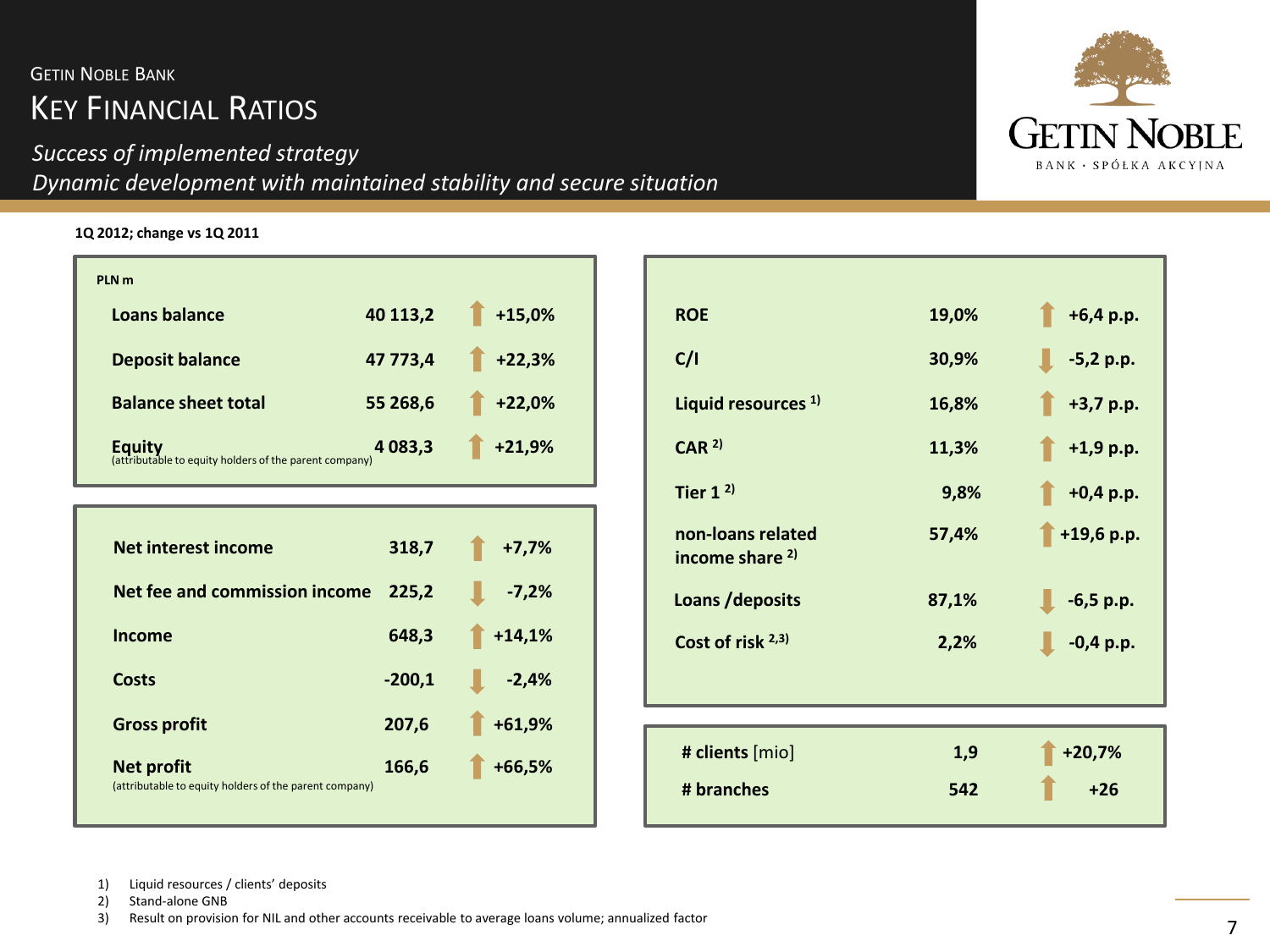# KEY FINANCIAL RATIOS **GETIN NOBLE BANK**

## *Success of implemented strategy Dynamic development with maintained stability and secure situation*

**1Q 2012; change vs 1Q 2011**

| PLN <sub>m</sub>                                                        |             |          |
|-------------------------------------------------------------------------|-------------|----------|
| Loans balance                                                           | 40 113,2    | $+15,0%$ |
| <b>Deposit balance</b>                                                  | 47 773,4    | $+22,3%$ |
| <b>Balance sheet total</b>                                              | 55 268,6    | $+22,0%$ |
| <b>Equity</b><br>(attributable to equity holders of the parent company) | 4 0 8 3 , 3 | $+21,9%$ |

| Net interest income                                                         | 318,7    | $+7,7%$  |
|-----------------------------------------------------------------------------|----------|----------|
| Net fee and commission income                                               | 225,2    | $-7,2%$  |
| Income                                                                      | 648,3    | $+14,1%$ |
| Costs                                                                       | $-200,1$ | $-2,4%$  |
| <b>Gross profit</b>                                                         | 207,6    | $+61,9%$ |
| <b>Net profit</b><br>(attributable to equity holders of the parent company) | 166,6    | $+66,5%$ |



| <b>ROE</b>                                      | 19,0% | $\uparrow$ +6,4 p.p. |
|-------------------------------------------------|-------|----------------------|
| C/I                                             | 30,9% | $-5,2 p.p.$          |
| Liquid resources <sup>1)</sup>                  | 16,8% | $+3,7$ p.p.          |
| CAR <sup>2</sup>                                | 11,3% | $+1,9$ p.p.          |
| Tier $1^{2}$                                    | 9,8%  | $+0,4 p.p.$          |
| non-loans related<br>income share <sup>2)</sup> | 57,4% | $+19,6 p.p.$         |
| Loans / deposits                                | 87,1% | $-6,5 p.p.$          |
| Cost of risk $2,3$                              | 2,2%  | $-0,4 p.p.$          |
|                                                 |       |                      |
|                                                 |       |                      |
| # clients [mio]                                 | 1,9   | $+20,7%$             |
| # branches                                      | 542   | $+26$                |

1) Liquid resources / clients' deposits<br>2) Stand-alone GNB

Stand-alone GNB

3) Result on provision for NIL and other accounts receivable to average loans volume; annualized factor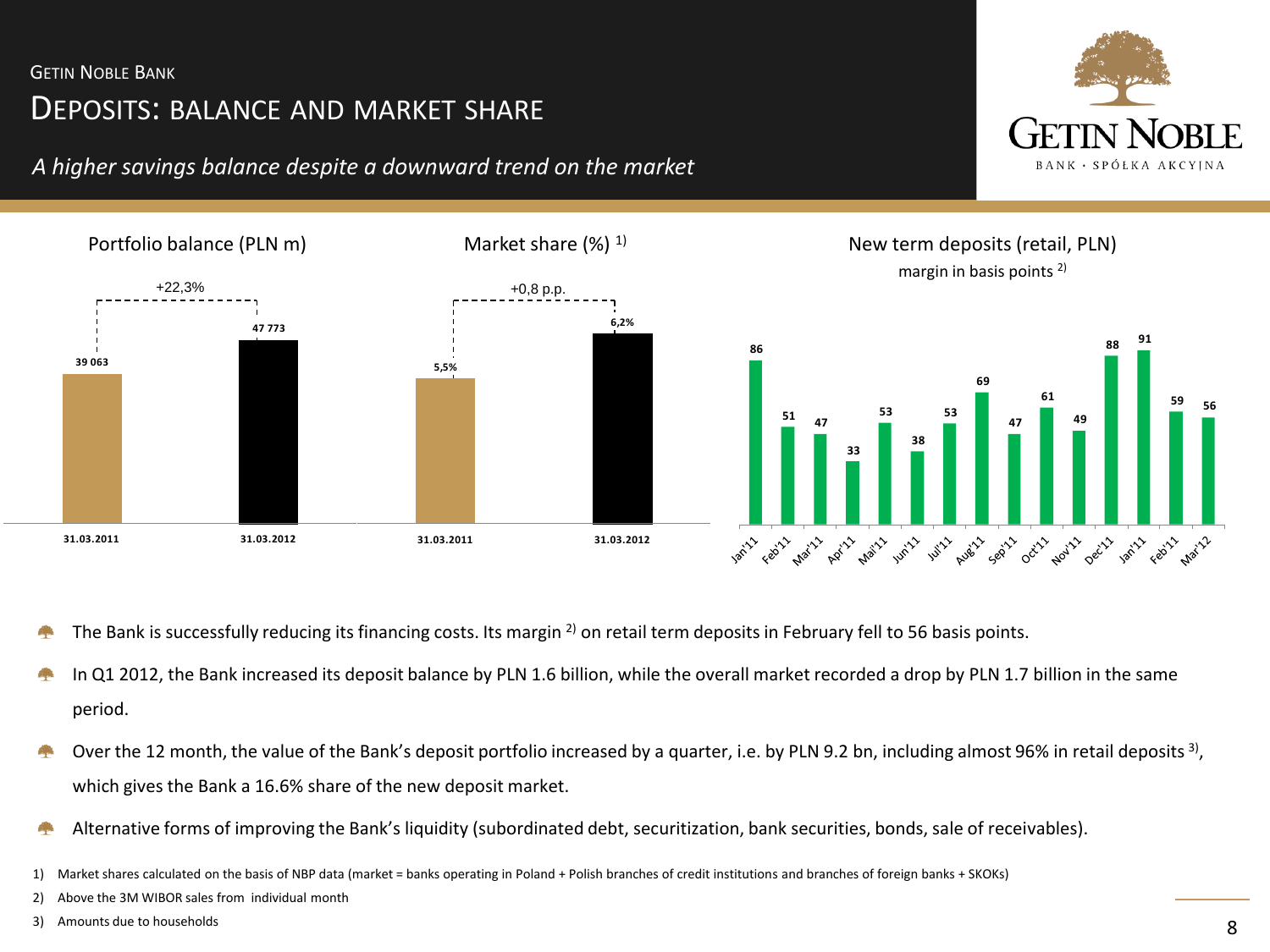# DEPOSITS: BALANCE AND MARKET SHARE

### *A higher savings balance despite a downward trend on the market*





- The Bank is successfully reducing its financing costs. Its margin  $^{2)}$  on retail term deposits in February fell to 56 basis points.
- In Q1 2012, the Bank increased its deposit balance by PLN 1.6 billion, while the overall market recorded a drop by PLN 1.7 billion in the same period.
- Over the 12 month, the value of the Bank's deposit portfolio increased by a quarter, i.e. by PLN 9.2 bn, including almost 96% in retail deposits <sup>3)</sup>, which gives the Bank a 16.6% share of the new deposit market.
- Alternative forms of improving the Bank's liquidity (subordinated debt, securitization, bank securities, bonds, sale of receivables).
- 1) Market shares calculated on the basis of NBP data (market = banks operating in Poland + Polish branches of credit institutions and branches of foreign banks + SKOKs)
- 2) Above the 3M WIBOR sales from individual month
- 3) Amounts due to households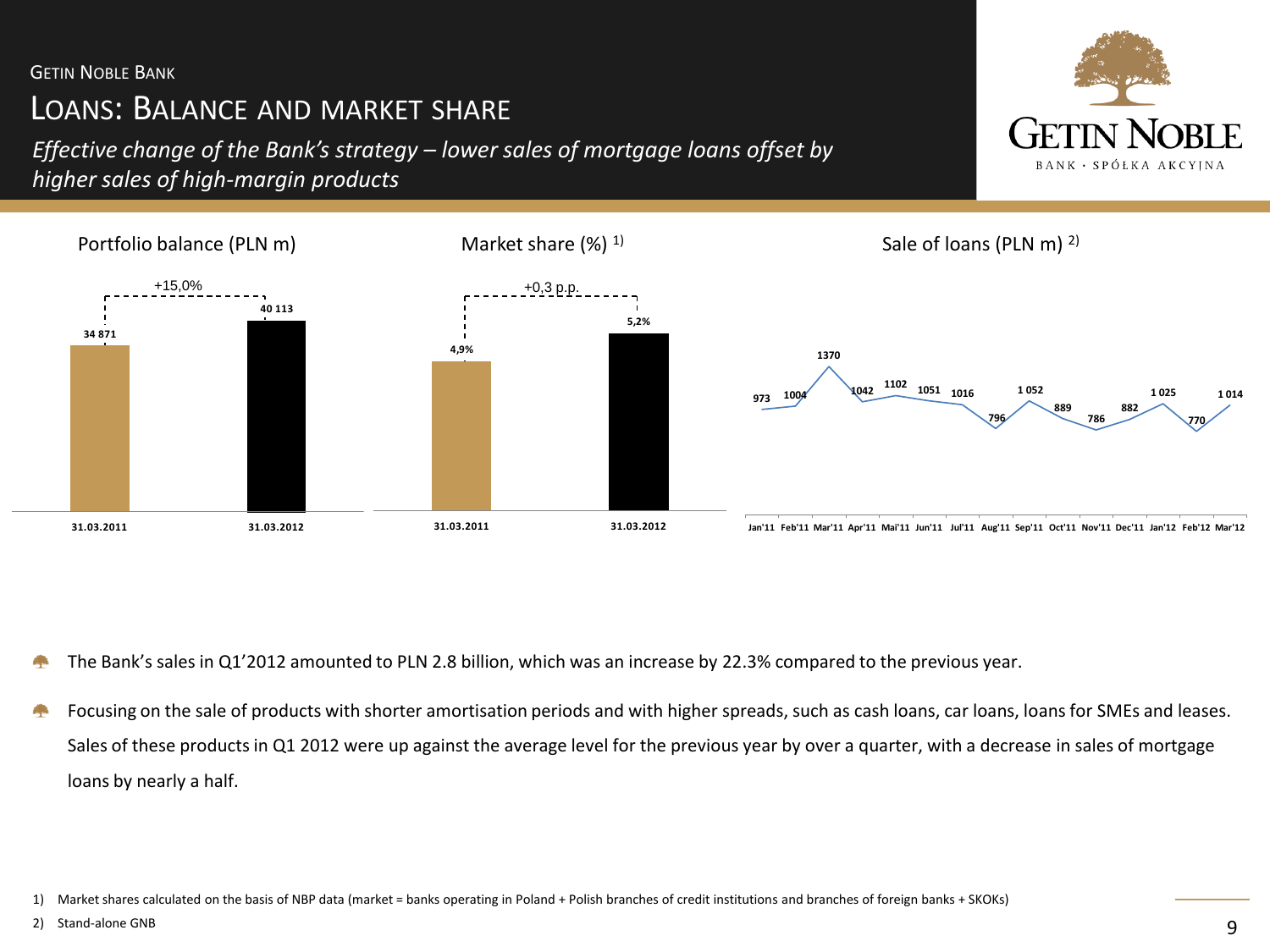# LOANS: BALANCE AND MARKET SHARE

*Effective change of the Bank's strategy – lower sales of mortgage loans offset by higher sales of high-margin products*





The Bank's sales in Q1'2012 amounted to PLN 2.8 billion, which was an increase by 22.3% compared to the previous year.

Focusing on the sale of products with shorter amortisation periods and with higher spreads, such as cash loans, car loans, loans for SMEs and leases. Sales of these products in Q1 2012 were up against the average level for the previous year by over a quarter, with a decrease in sales of mortgage loans by nearly a half.

2) Stand-alone GNB

<sup>1)</sup> Market shares calculated on the basis of NBP data (market = banks operating in Poland + Polish branches of credit institutions and branches of foreign banks + SKOKs)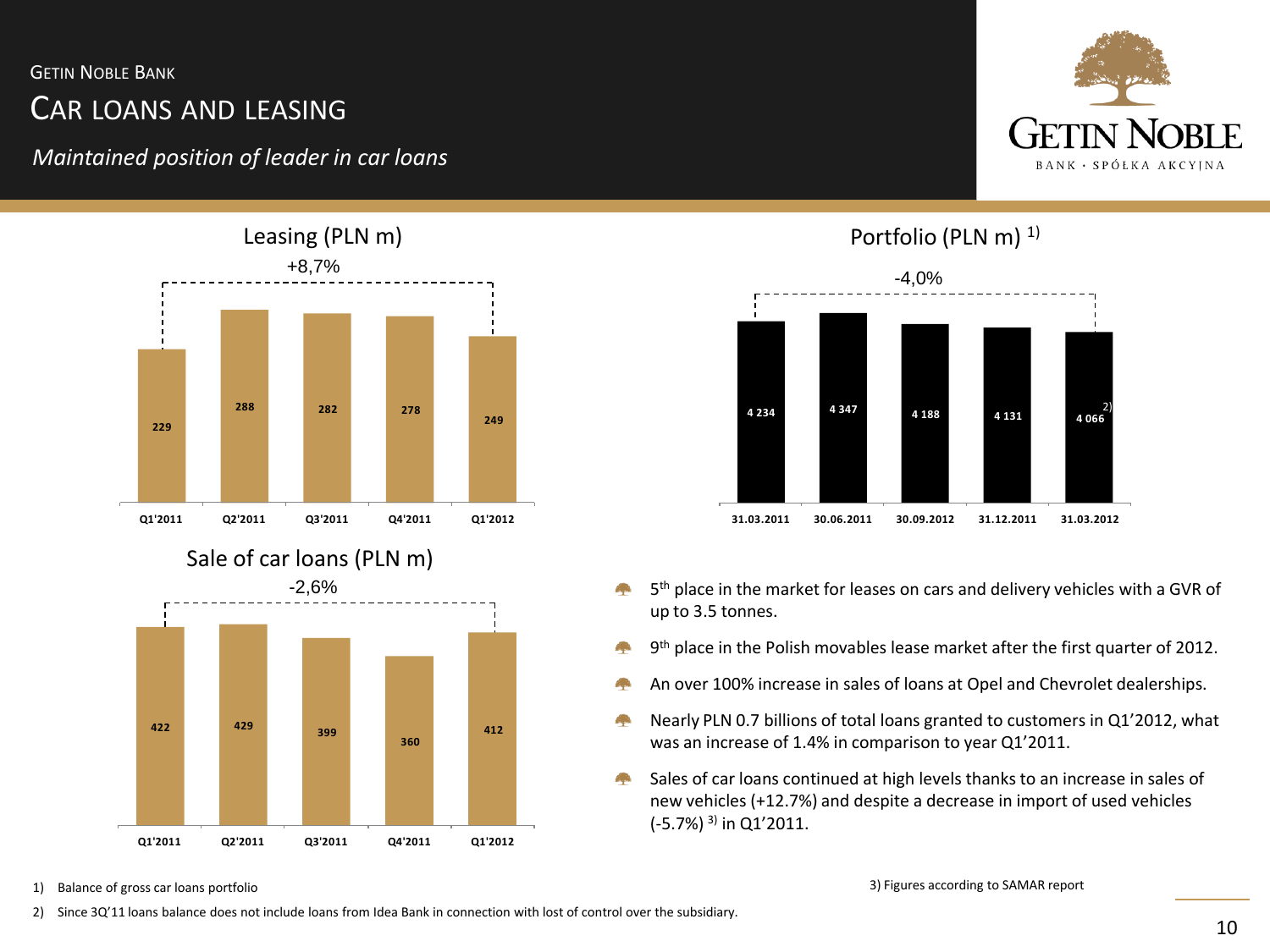# CAR LOANS AND LEASING

*Maintained position of leader in car loans*





### Portfolio (PLN m) 1)



- 5 th place in the market for leases on cars and delivery vehicles with a GVR of up to 3.5 tonnes.
- A. 9<sup>th</sup> place in the Polish movables lease market after the first quarter of 2012.
- An over 100% increase in sales of loans at Opel and Chevrolet dealerships. 4.
- Nearly PLN 0.7 billions of total loans granted to customers in Q1'2012, what A. was an increase of 1.4% in comparison to year Q1'2011.
- Sales of car loans continued at high levels thanks to an increase in sales of **Age** new vehicles (+12.7%) and despite a decrease in import of used vehicles  $(-5.7%)$ <sup>3)</sup> in Q1'2011.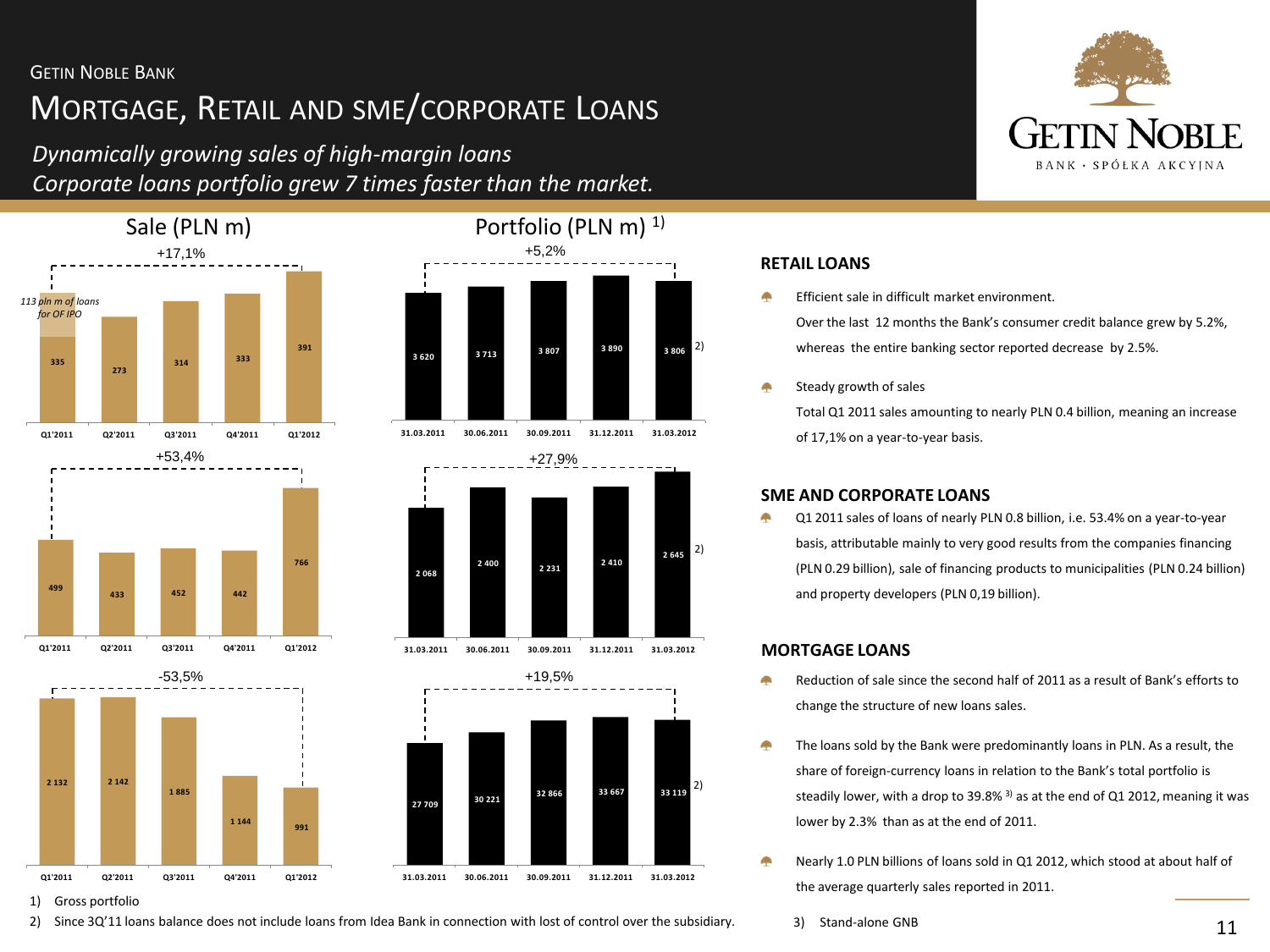# MORTGAGE, RETAIL AND SME/CORPORATE LOANS

*Dynamically growing sales of high-margin loans Corporate loans portfolio grew 7 times faster than the market.*

2) Since 3Q'11 loans balance does not include loans from Idea Bank in connection with lost of control over the subsidiary.















Efficient sale in difficult market environment.

Over the last 12 months the Bank's consumer credit balance grew by 5.2%, whereas the entire banking sector reported decrease by 2.5%.

Steady growth of sales

Total Q1 2011 sales amounting to nearly PLN 0.4 billion, meaning an increase of 17,1% on a year-to-year basis.

#### **SME AND CORPORATE LOANS**

Q1 2011 sales of loans of nearly PLN 0.8 billion, i.e. 53.4% on a year-to-year basis, attributable mainly to very good results from the companies financing (PLN 0.29 billion), sale of financing products to municipalities (PLN 0.24 billion) and property developers (PLN 0,19 billion).

#### **MORTGAGE LOANS**

- Reduction of sale since the second half of 2011 as a result of Bank's efforts to change the structure of new loans sales.
- ÷ The loans sold by the Bank were predominantly loans in PLN. As a result, the share of foreign-currency loans in relation to the Bank's total portfolio is steadily lower, with a drop to 39.8%  $3$  as at the end of Q1 2012, meaning it was lower by 2.3% than as at the end of 2011.
- Nearly 1.0 PLN billions of loans sold in Q1 2012, which stood at about half of the average quarterly sales reported in 2011.
	- 3) Stand-alone GNB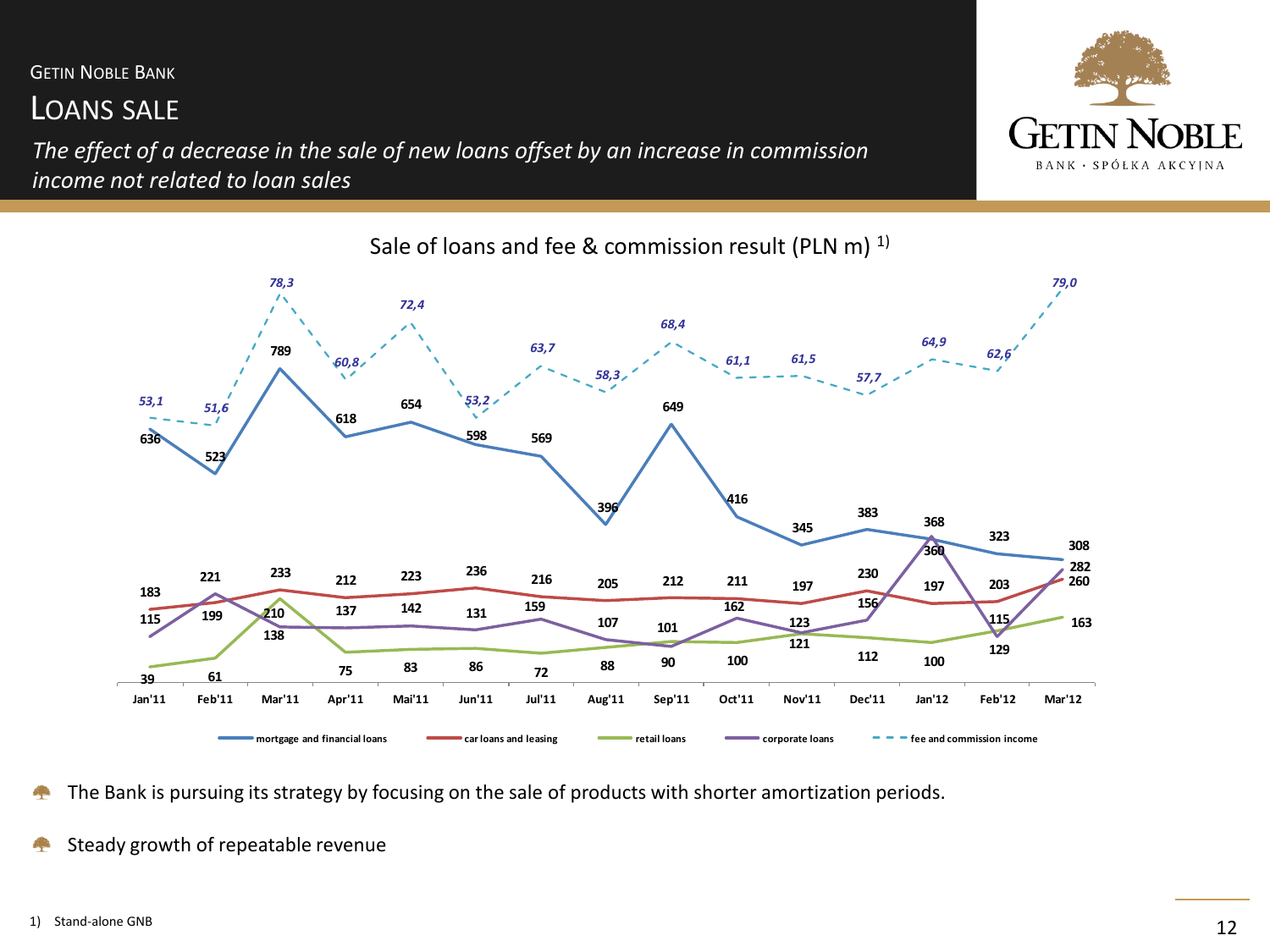# LOANS SALE

*The effect of a decrease in the sale of new loans offset by an increase in commission income not related to loan sales*





The Bank is pursuing its strategy by focusing on the sale of products with shorter amortization periods. 

Steady growth of repeatable revenue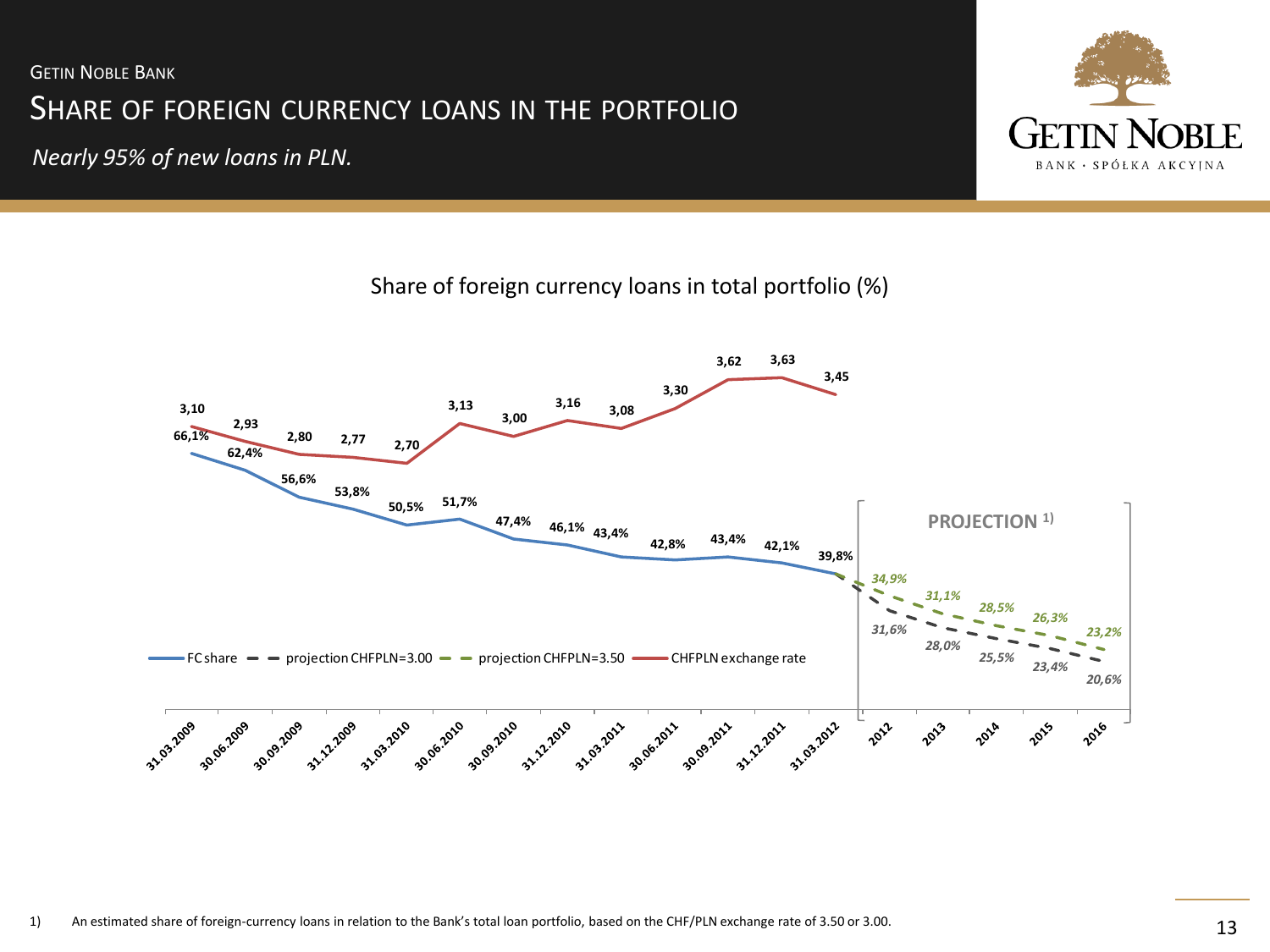# SHARE OF FOREIGN CURRENCY LOANS IN THE PORTFOLIO **GETIN NOBLE BANK**

*Nearly 95% of new loans in PLN.* 



Share of foreign currency loans in total portfolio (%)

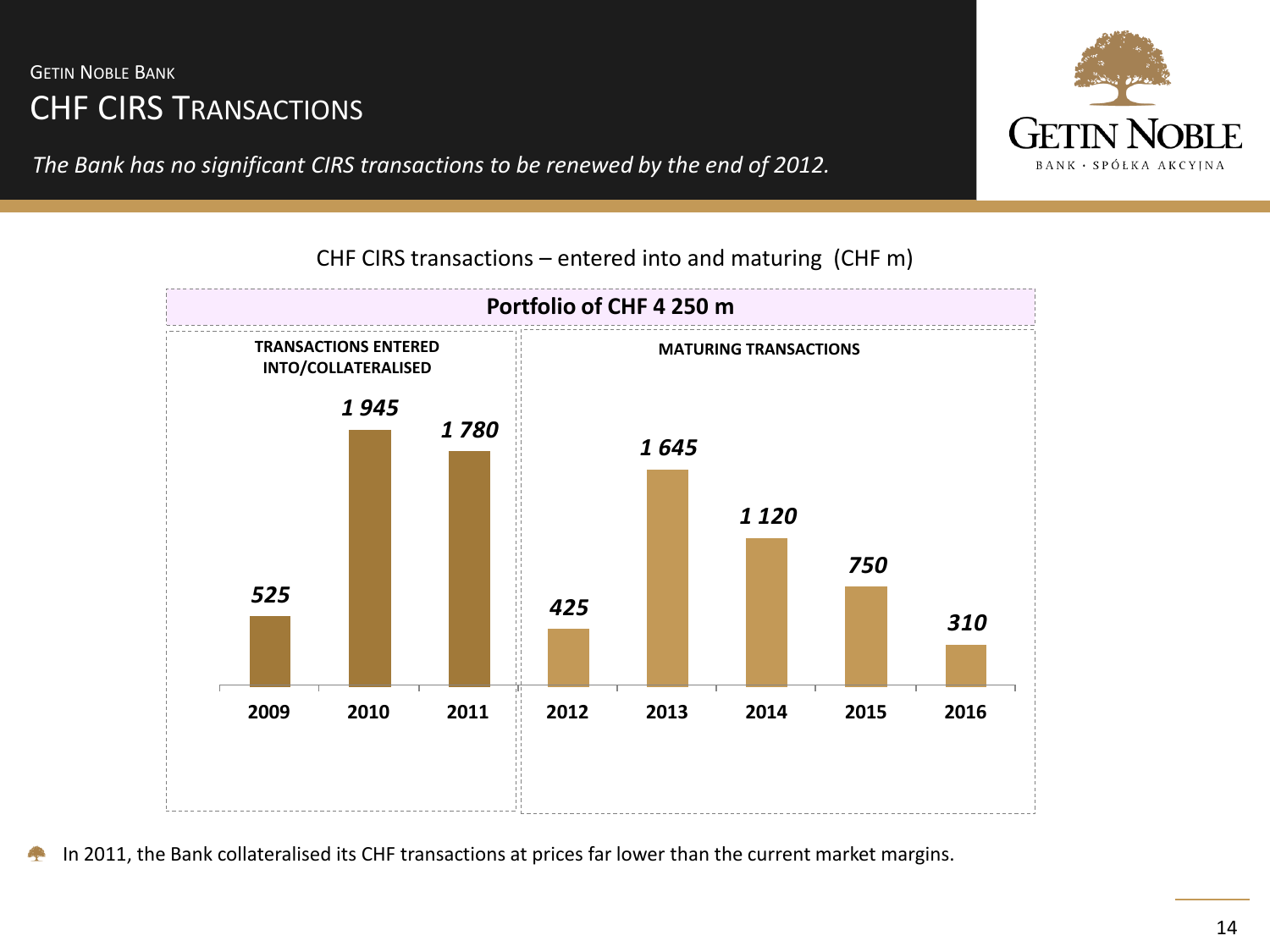# CHF CIRS TRANSACTIONS **GETIN NOBLE BANK**

*The Bank has no significant CIRS transactions to be renewed by the end of 2012.*



**Portfolio of CHF 4 250 m** *525 1 945 1 780 425 1 645 1 120 750 310*  **2009 2010 2011 2012 2013 2014 2015 2016 TRANSACTIONS ENTERED INTO/COLLATERALISED MATURING TRANSACTIONS** CHF CIRS transactions – entered into and maturing (CHF m)

In 2011, the Bank collateralised its CHF transactions at prices far lower than the current market margins.

#### 14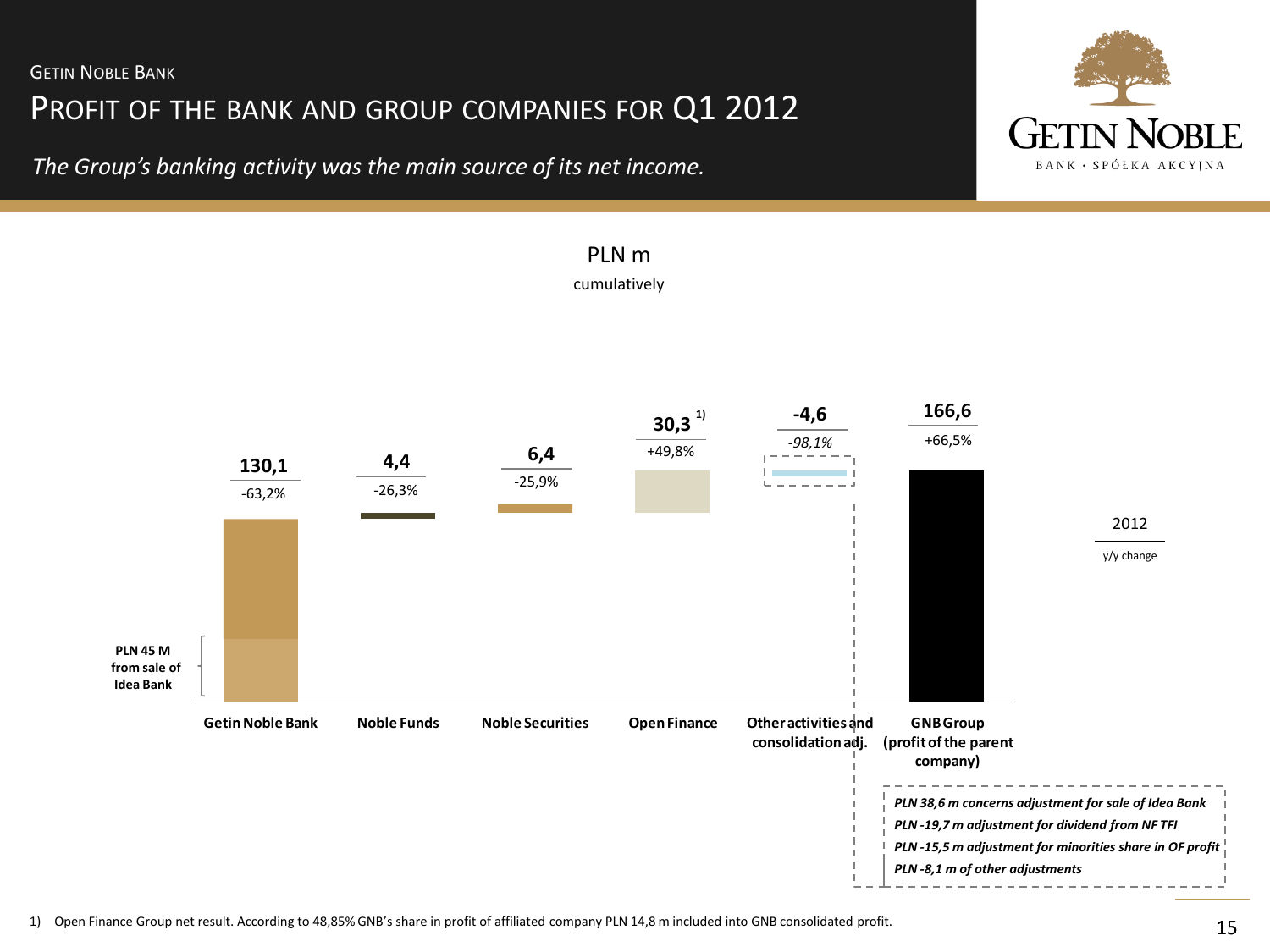PROFIT OF THE BANK AND GROUP COMPANIES FOR Q1 2012

*The Group's banking activity was the main source of its net income.*





# PLN m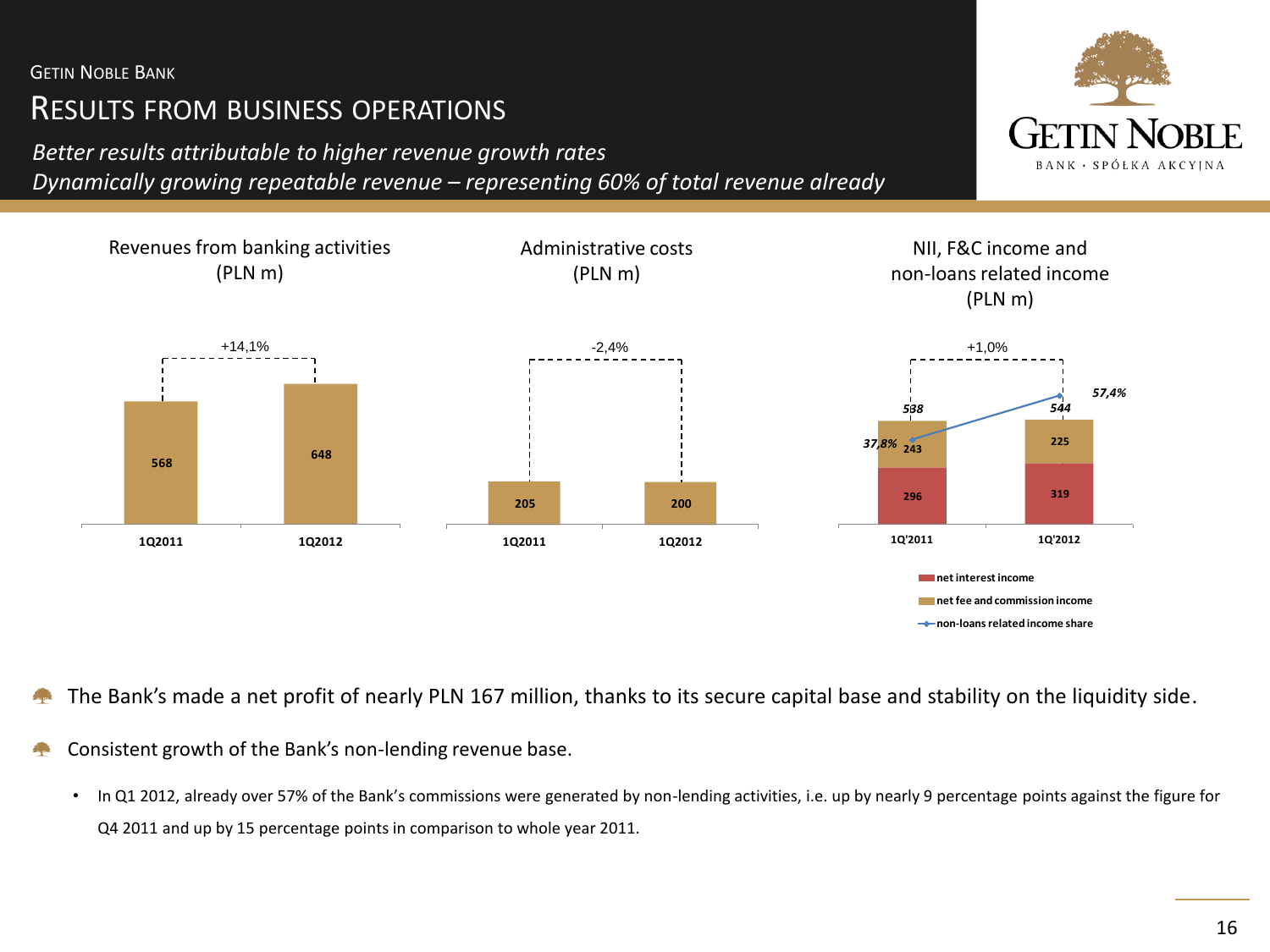# RESULTS FROM BUSINESS OPERATIONS

*Better results attributable to higher revenue growth rates*

*Dynamically growing repeatable revenue – representing 60% of total revenue already* 



The Bank's made a net profit of nearly PLN 167 million, thanks to its secure capital base and stability on the liquidity side. المرك

- Consistent growth of the Bank's non-lending revenue base.
	- In Q1 2012, already over 57% of the Bank's commissions were generated by non-lending activities, i.e. up by nearly 9 percentage points against the figure for Q4 2011 and up by 15 percentage points in comparison to whole year 2011.

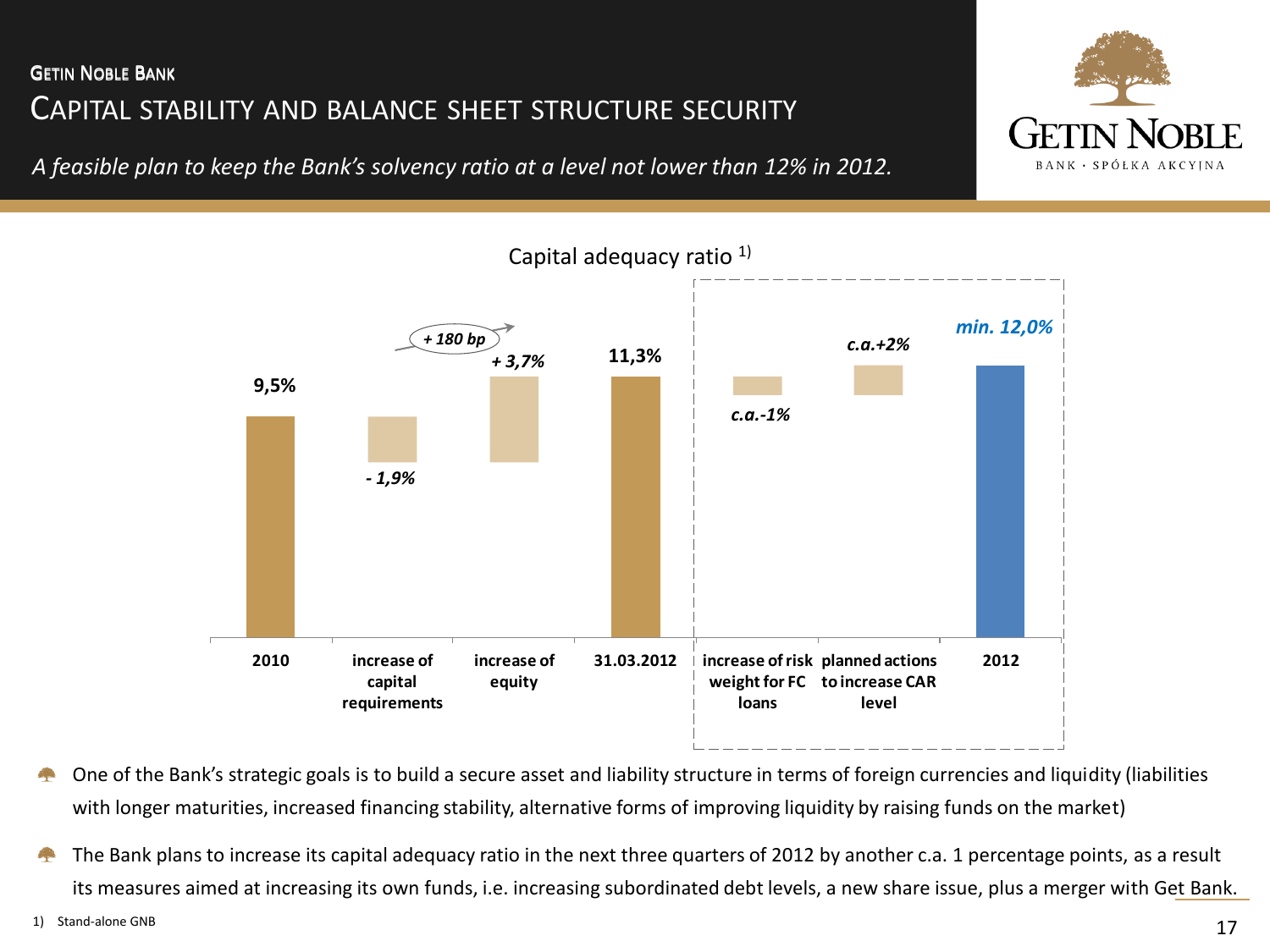# CAPITAL STABILITY AND BALANCE SHEET STRUCTURE SECURITY GETIN NOBLE BANK GETIN NOBLE BANK

*A feasible plan to keep the Bank's solvency ratio at a level not lower than 12% in 2012.* 





One of the Bank's strategic goals is to build a secure asset and liability structure in terms of foreign currencies and liquidity (liabilities with longer maturities, increased financing stability, alternative forms of improving liquidity by raising funds on the market)

The Bank plans to increase its capital adequacy ratio in the next three quarters of 2012 by another c.a. 1 percentage points, as a result 4 its measures aimed at increasing its own funds, i.e. increasing subordinated debt levels, a new share issue, plus a merger with Get Bank.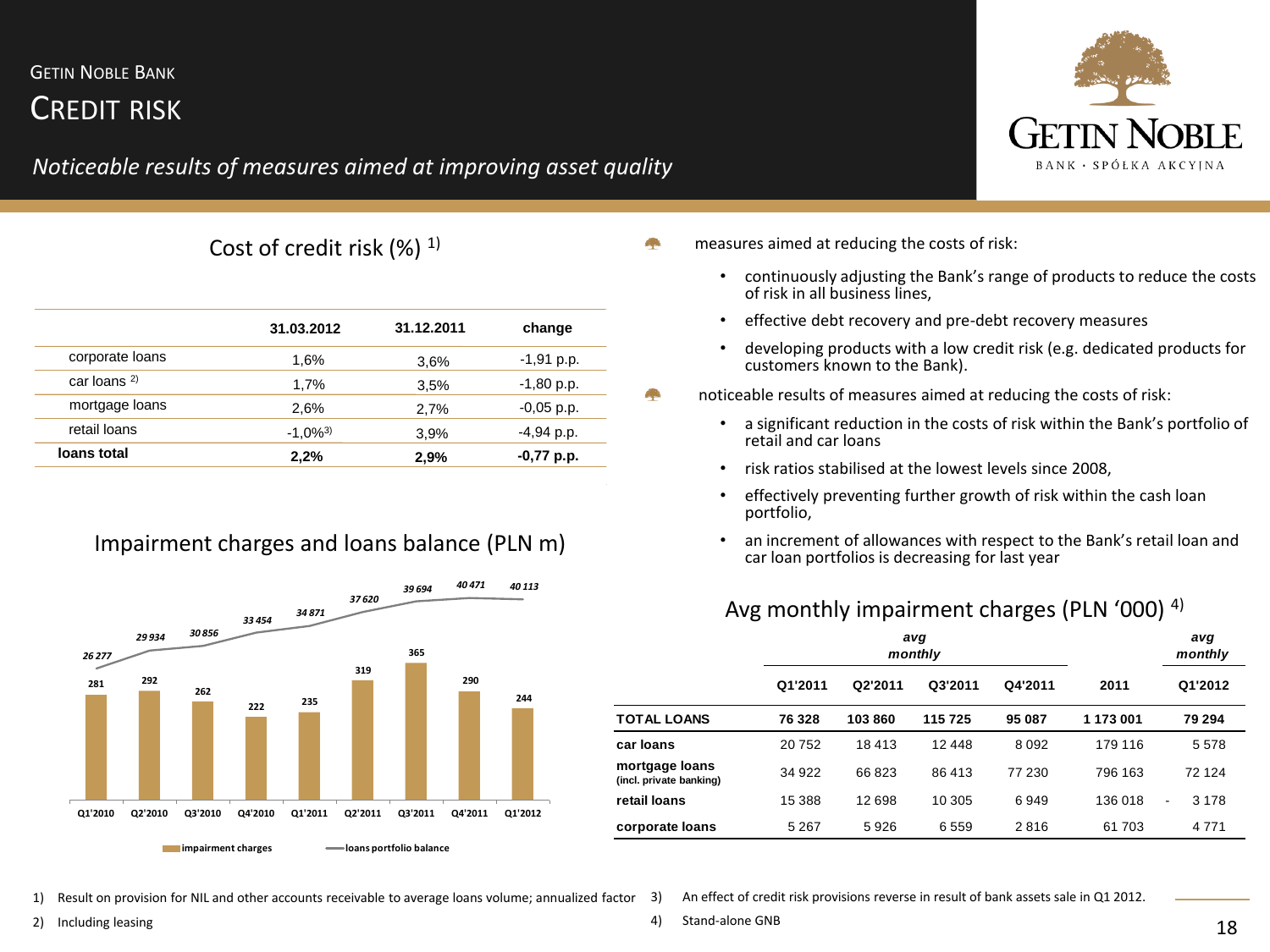# CREDIT RISK

## *Noticeable results of measures aimed at improving asset quality*



| 31.03.2012             | 31.12.2011 | change       |
|------------------------|------------|--------------|
| 1,6%                   | 3.6%       | $-1,91$ p.p. |
| 1,7%                   | 3.5%       | $-1,80$ p.p. |
| 2,6%                   | 2.7%       | $-0,05$ p.p. |
| $-1.0\%$ <sup>3)</sup> | 3.9%       | $-4,94$ p.p. |
| 2,2%                   | 2,9%       | -0,77 p.p.   |
|                        |            |              |

### Impairment charges and loans balance (PLN m)



Cost of credit risk  $(\%)$ <sup>1)</sup> example a measures aimed at reducing the costs of risk:

- continuously adjusting the Bank's range of products to reduce the costs of risk in all business lines,
- effective debt recovery and pre-debt recovery measures
- developing products with a low credit risk (e.g. dedicated products for customers known to the Bank).
- noticeable results of measures aimed at reducing the costs of risk:
	- a significant reduction in the costs of risk within the Bank's portfolio of retail and car loans
	- risk ratios stabilised at the lowest levels since 2008,
	- effectively preventing further growth of risk within the cash loan portfolio,
	- an increment of allowances with respect to the Bank's retail loan and car loan portfolios is decreasing for last year

### Avg monthly impairment charges (PLN '000) 4)

|                                           |         |         | avg<br>monthly |         |           | avg<br>monthly                      |
|-------------------------------------------|---------|---------|----------------|---------|-----------|-------------------------------------|
|                                           | Q1'2011 | Q2'2011 | Q3'2011        | Q4'2011 | 2011      | Q1'2012                             |
| TOTAL LOANS                               | 76 328  | 103860  | 115725         | 95 087  | 1 173 001 | 79 294                              |
| car Ioans                                 | 20752   | 18413   | 12 448         | 8092    | 179 116   | 5 5 7 8                             |
| mortgage loans<br>(incl. private banking) | 34 922  | 66823   | 86413          | 77 230  | 796 163   | 72 124                              |
| retail Ioans                              | 15 388  | 12 698  | 10 305         | 6949    | 136 018   | 3 1 7 8<br>$\overline{\phantom{a}}$ |
| corporate loans                           | 5 2 6 7 | 5926    | 6559           | 2816    | 61 703    | 4 7 7 1                             |

1) Result on provision for NIL and other accounts receivable to average loans volume; annualized factor

3) An effect of credit risk provisions reverse in result of bank assets sale in Q1 2012.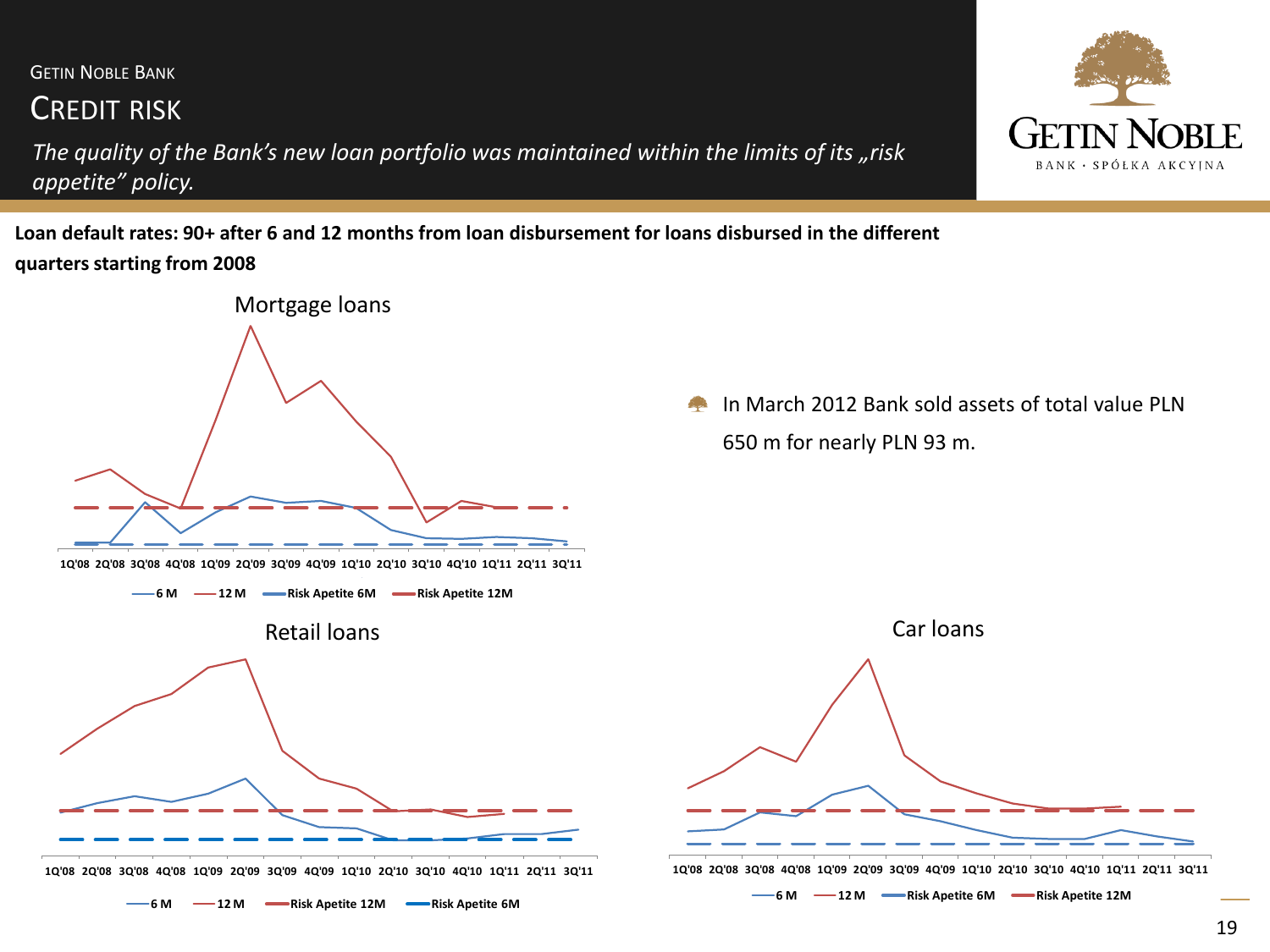## CREDIT RISK

*The quality of the Bank's new loan portfolio was maintained within the limits of its "risk appetite" policy.*

**Loan default rates: 90+ after 6 and 12 months from loan disbursement for loans disbursed in the different quarters starting from 2008**



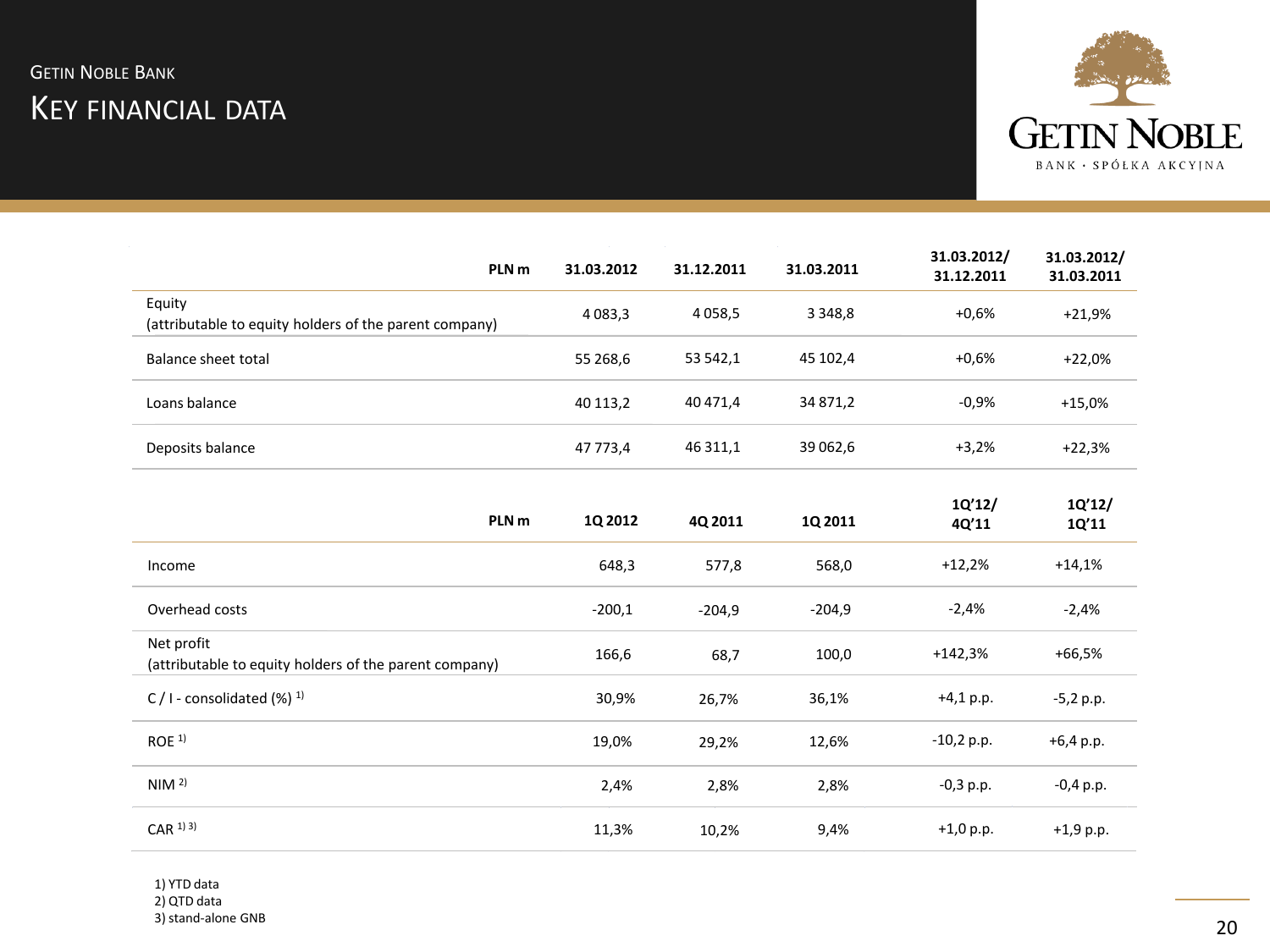

| PLN <sub>m</sub>                                                     | 31.03.2012  | 31.12.2011 | 31.03.2011  | 31.03.2012/<br>31.12.2011 | 31.03.2012/<br>31.03.2011 |
|----------------------------------------------------------------------|-------------|------------|-------------|---------------------------|---------------------------|
| Equity<br>(attributable to equity holders of the parent company)     | 4 0 8 3 , 3 | 4058,5     | 3 3 4 8 , 8 | $+0.6%$                   | $+21,9%$                  |
| <b>Balance sheet total</b>                                           | 55 268,6    | 53 542,1   | 45 102,4    | $+0.6%$                   | $+22,0%$                  |
| Loans balance                                                        | 40 113,2    | 40 471,4   | 34 871,2    | $-0,9%$                   | $+15,0%$                  |
| Deposits balance                                                     | 47 773,4    | 46 311,1   | 39 062,6    | $+3,2%$                   | $+22,3%$                  |
| PLN <sub>m</sub>                                                     | 1Q 2012     | 4Q 2011    | 1Q 2011     | 1Q'12/<br>4Q'11           | 1Q'12/<br>1Q'11           |
| Income                                                               | 648,3       | 577,8      | 568,0       | $+12,2%$                  | $+14,1%$                  |
| Overhead costs                                                       | $-200,1$    | $-204,9$   | $-204,9$    | $-2,4%$                   | $-2,4%$                   |
| Net profit<br>(attributable to equity holders of the parent company) | 166,6       | 68,7       | 100,0       | $+142,3%$                 | $+66,5%$                  |
| C / I - consolidated $(\%)$ <sup>1)</sup>                            | 30,9%       | 26,7%      | 36,1%       | $+4,1 p.p.$               | $-5,2 p.p.$               |
| ROE <sup>1</sup>                                                     | 19,0%       | 29,2%      | 12,6%       | $-10,2 p.p.$              | $+6,4 p.p.$               |
| NIM <sup>2</sup>                                                     | 2,4%        | 2,8%       | 2,8%        | $-0,3$ p.p.               | $-0,4$ p.p.               |
| $CAR$ <sup>1) 3)</sup>                                               | 11,3%       | 10,2%      | 9,4%        | $+1,0 p.p.$               | $+1,9$ p.p.               |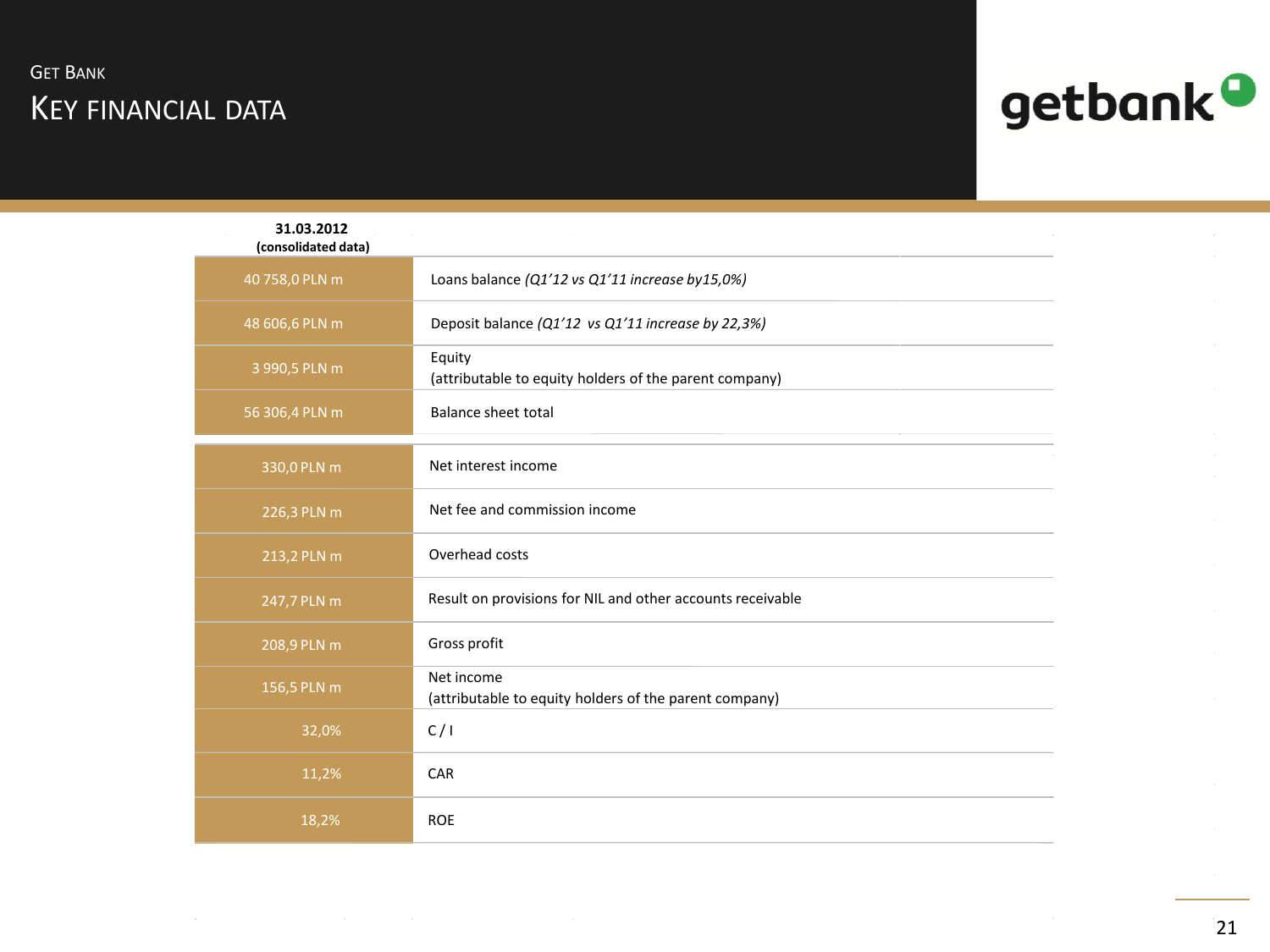# KEY FINANCIAL DATA **GET BANK**



| 31.03.2012<br>(consolidated data) |                                                                      |  |
|-----------------------------------|----------------------------------------------------------------------|--|
| 40 758,0 PLN m                    | Loans balance (Q1'12 vs Q1'11 increase by15,0%)                      |  |
| 48 606,6 PLN m                    | Deposit balance (Q1'12 vs Q1'11 increase by 22,3%)                   |  |
| 3 990,5 PLN m                     | Equity<br>(attributable to equity holders of the parent company)     |  |
| 56 306,4 PLN m                    | <b>Balance sheet total</b>                                           |  |
| 330,0 PLN m                       | Net interest income                                                  |  |
| 226,3 PLN m                       | Net fee and commission income                                        |  |
| 213,2 PLN m                       | Overhead costs                                                       |  |
| 247,7 PLN m                       | Result on provisions for NIL and other accounts receivable           |  |
| 208,9 PLN m                       | Gross profit                                                         |  |
| 156,5 PLN m                       | Net income<br>(attributable to equity holders of the parent company) |  |
| 32,0%                             | C/1                                                                  |  |
| 11,2%                             | CAR                                                                  |  |
| 18,2%                             | <b>ROE</b>                                                           |  |

 $21$